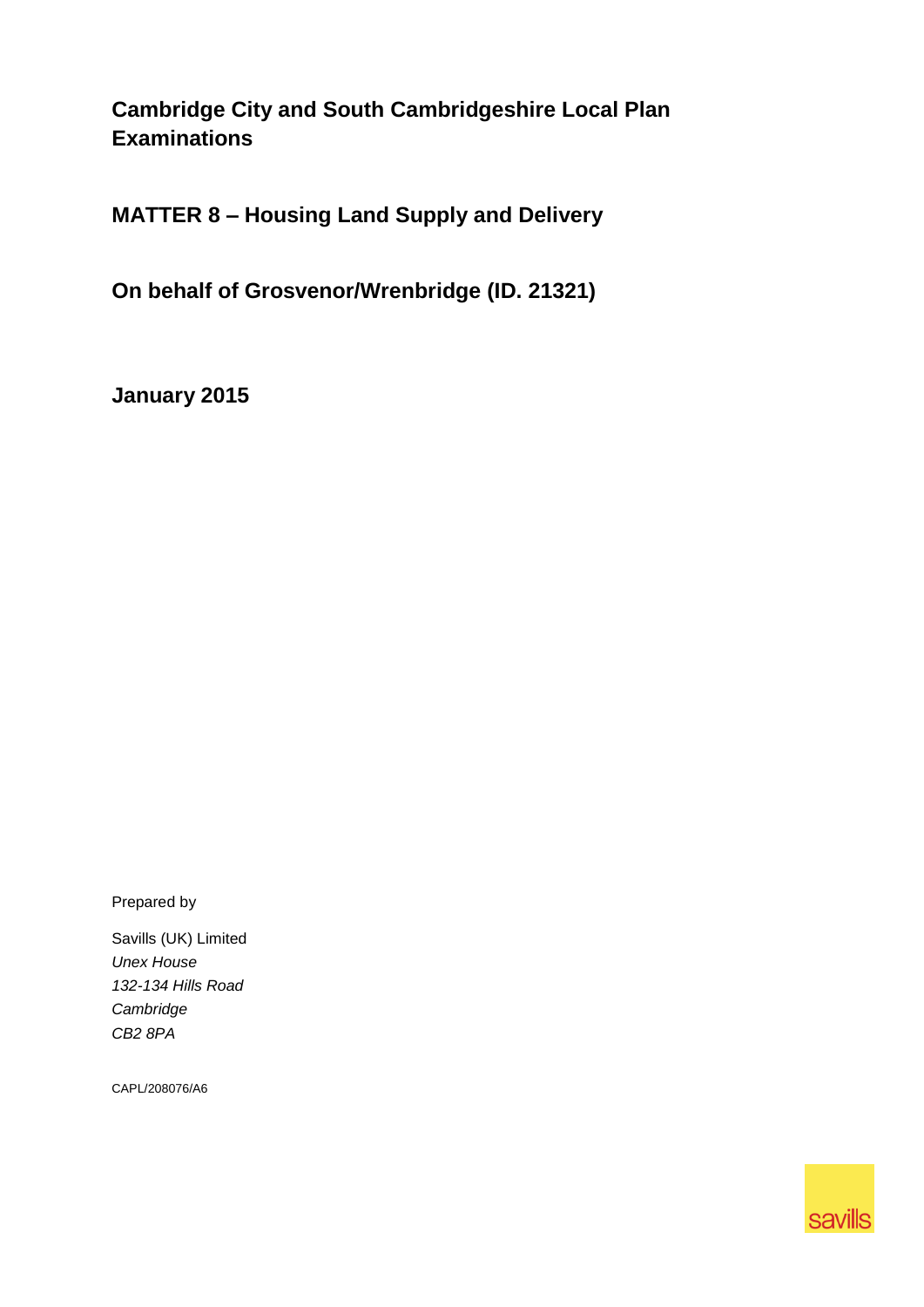**Cambridge City and South Cambridgeshire Local Plan Examinations**

**MATTER 8 – Housing Land Supply and Delivery**

**On behalf of Grosvenor/Wrenbridge (ID. 21321)**

**January 2015**

Prepared by

Savills (UK) Limited *Unex House 132-134 Hills Road Cambridge CB2 8PA*

CAPL/208076/A6

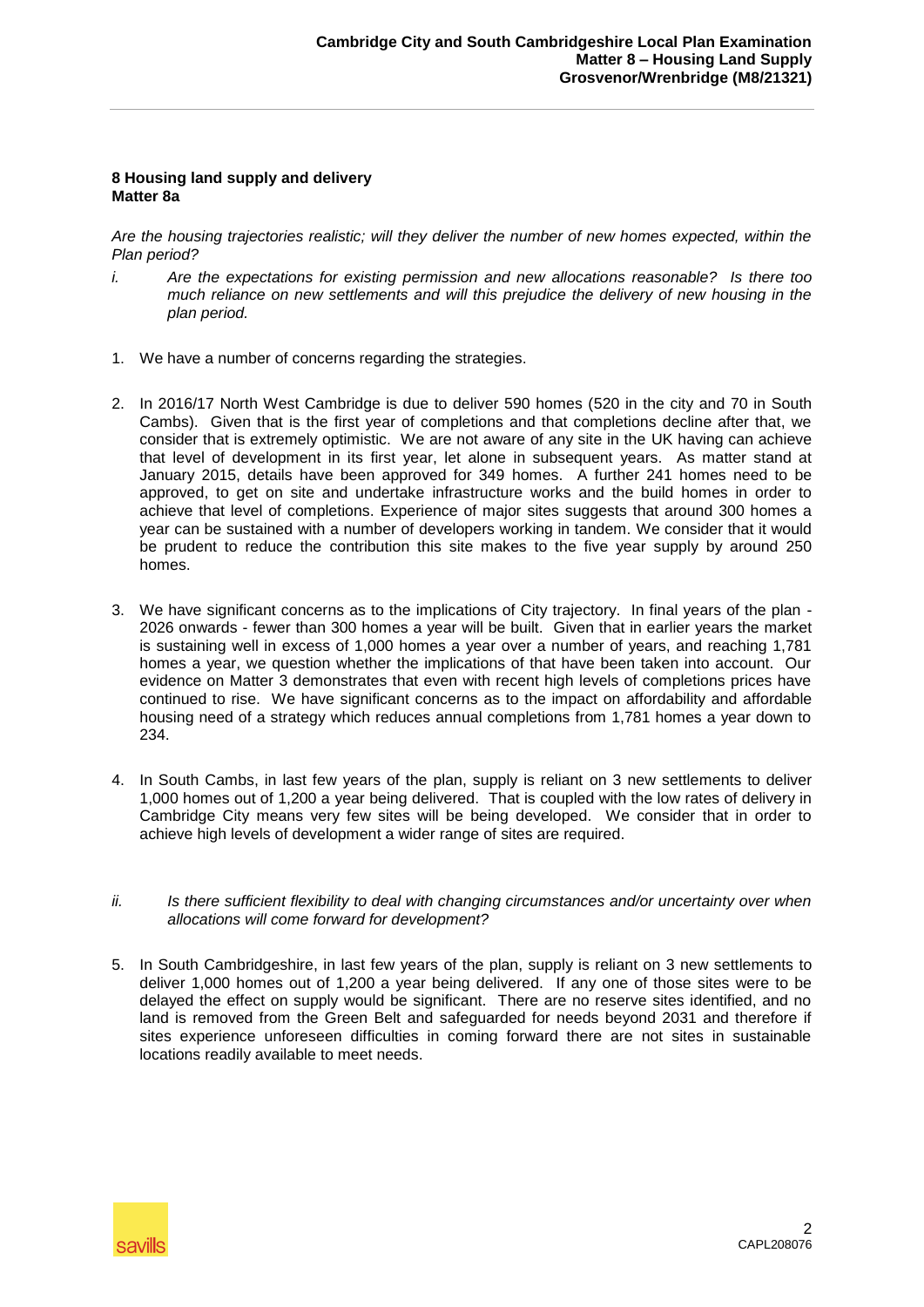## **8 Housing land supply and delivery Matter 8a**

*Are the housing trajectories realistic; will they deliver the number of new homes expected, within the Plan period?*

- *i. Are the expectations for existing permission and new allocations reasonable? Is there too much reliance on new settlements and will this prejudice the delivery of new housing in the plan period.*
- 1. We have a number of concerns regarding the strategies.
- 2. In 2016/17 North West Cambridge is due to deliver 590 homes (520 in the city and 70 in South Cambs). Given that is the first year of completions and that completions decline after that, we consider that is extremely optimistic. We are not aware of any site in the UK having can achieve that level of development in its first year, let alone in subsequent years. As matter stand at January 2015, details have been approved for 349 homes. A further 241 homes need to be approved, to get on site and undertake infrastructure works and the build homes in order to achieve that level of completions. Experience of major sites suggests that around 300 homes a year can be sustained with a number of developers working in tandem. We consider that it would be prudent to reduce the contribution this site makes to the five year supply by around 250 homes.
- 3. We have significant concerns as to the implications of City trajectory. In final years of the plan 2026 onwards - fewer than 300 homes a year will be built. Given that in earlier years the market is sustaining well in excess of 1,000 homes a year over a number of years, and reaching 1,781 homes a year, we question whether the implications of that have been taken into account. Our evidence on Matter 3 demonstrates that even with recent high levels of completions prices have continued to rise. We have significant concerns as to the impact on affordability and affordable housing need of a strategy which reduces annual completions from 1,781 homes a year down to 234.
- 4. In South Cambs, in last few years of the plan, supply is reliant on 3 new settlements to deliver 1,000 homes out of 1,200 a year being delivered. That is coupled with the low rates of delivery in Cambridge City means very few sites will be being developed. We consider that in order to achieve high levels of development a wider range of sites are required.
- *ii. Is there sufficient flexibility to deal with changing circumstances and/or uncertainty over when allocations will come forward for development?*
- 5. In South Cambridgeshire, in last few years of the plan, supply is reliant on 3 new settlements to deliver 1,000 homes out of 1,200 a year being delivered. If any one of those sites were to be delayed the effect on supply would be significant. There are no reserve sites identified, and no land is removed from the Green Belt and safeguarded for needs beyond 2031 and therefore if sites experience unforeseen difficulties in coming forward there are not sites in sustainable locations readily available to meet needs.

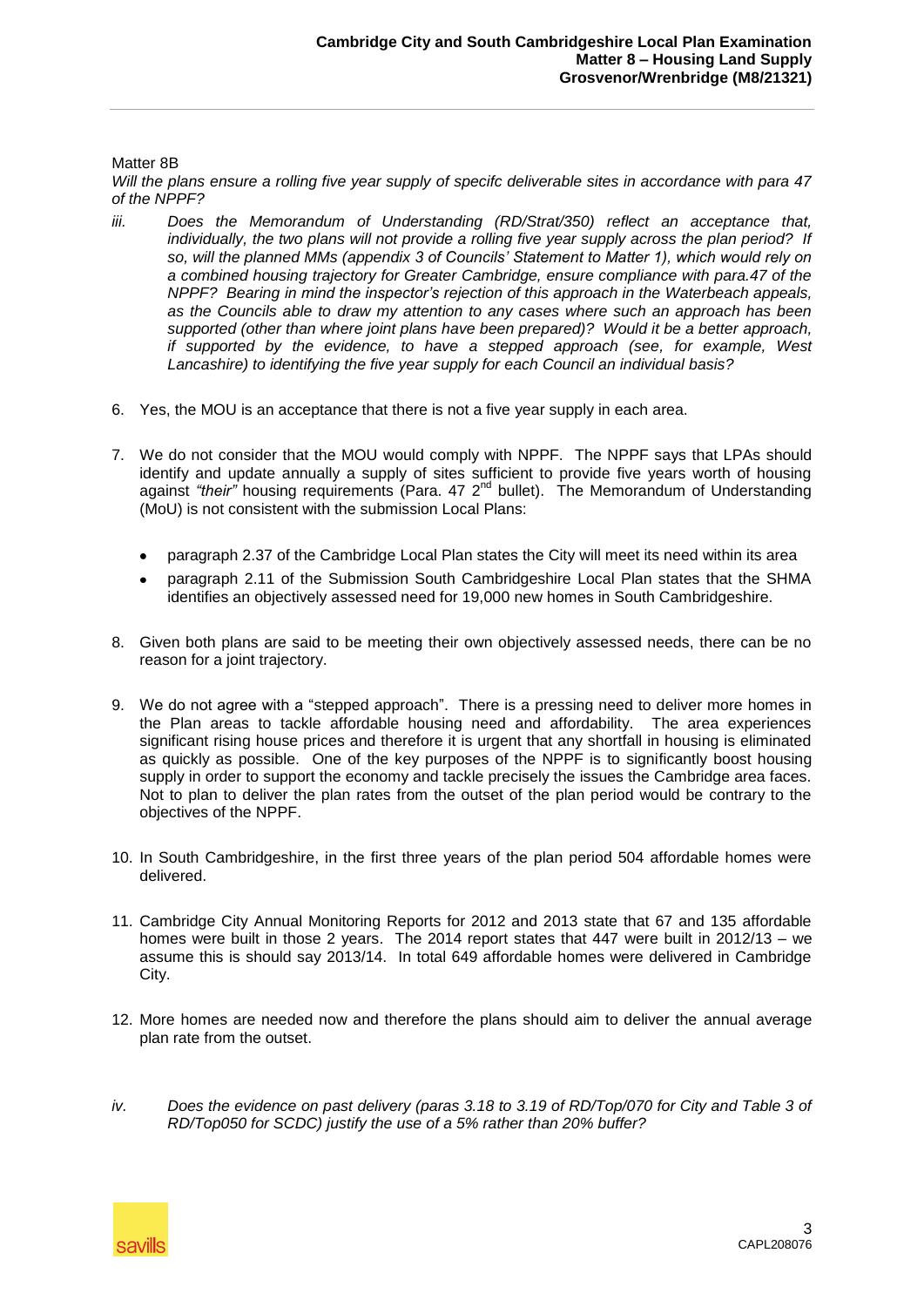## Matter 8B

*Will the plans ensure a rolling five year supply of specifc deliverable sites in accordance with para 47 of the NPPF?*

- *iii. Does the Memorandum of Understanding (RD/Strat/350) reflect an acceptance that, individually, the two plans will not provide a rolling five year supply across the plan period? If so, will the planned MMs (appendix 3 of Councils' Statement to Matter 1), which would rely on a combined housing trajectory for Greater Cambridge, ensure compliance with para.47 of the NPPF? Bearing in mind the inspector's rejection of this approach in the Waterbeach appeals, as the Councils able to draw my attention to any cases where such an approach has been supported (other than where joint plans have been prepared)? Would it be a better approach, if supported by the evidence, to have a stepped approach (see, for example, West Lancashire) to identifying the five year supply for each Council an individual basis?*
- 6. Yes, the MOU is an acceptance that there is not a five year supply in each area.
- 7. We do not consider that the MOU would comply with NPPF. The NPPF says that LPAs should identify and update annually a supply of sites sufficient to provide five years worth of housing against "their" housing requirements (Para. 47 2<sup>nd</sup> bullet). The Memorandum of Understanding (MoU) is not consistent with the submission Local Plans:
	- paragraph 2.37 of the Cambridge Local Plan states the City will meet its need within its area
	- paragraph 2.11 of the Submission South Cambridgeshire Local Plan states that the SHMA identifies an objectively assessed need for 19,000 new homes in South Cambridgeshire.
- 8. Given both plans are said to be meeting their own objectively assessed needs, there can be no reason for a joint trajectory.
- 9. We do not agree with a "stepped approach". There is a pressing need to deliver more homes in the Plan areas to tackle affordable housing need and affordability. The area experiences significant rising house prices and therefore it is urgent that any shortfall in housing is eliminated as quickly as possible. One of the key purposes of the NPPF is to significantly boost housing supply in order to support the economy and tackle precisely the issues the Cambridge area faces. Not to plan to deliver the plan rates from the outset of the plan period would be contrary to the objectives of the NPPF.
- 10. In South Cambridgeshire, in the first three years of the plan period 504 affordable homes were delivered.
- 11. Cambridge City Annual Monitoring Reports for 2012 and 2013 state that 67 and 135 affordable homes were built in those 2 years. The 2014 report states that 447 were built in 2012/13 – we assume this is should say 2013/14. In total 649 affordable homes were delivered in Cambridge City.
- 12. More homes are needed now and therefore the plans should aim to deliver the annual average plan rate from the outset.
- *iv. Does the evidence on past delivery (paras 3.18 to 3.19 of RD/Top/070 for City and Table 3 of RD/Top050 for SCDC) justify the use of a 5% rather than 20% buffer?*

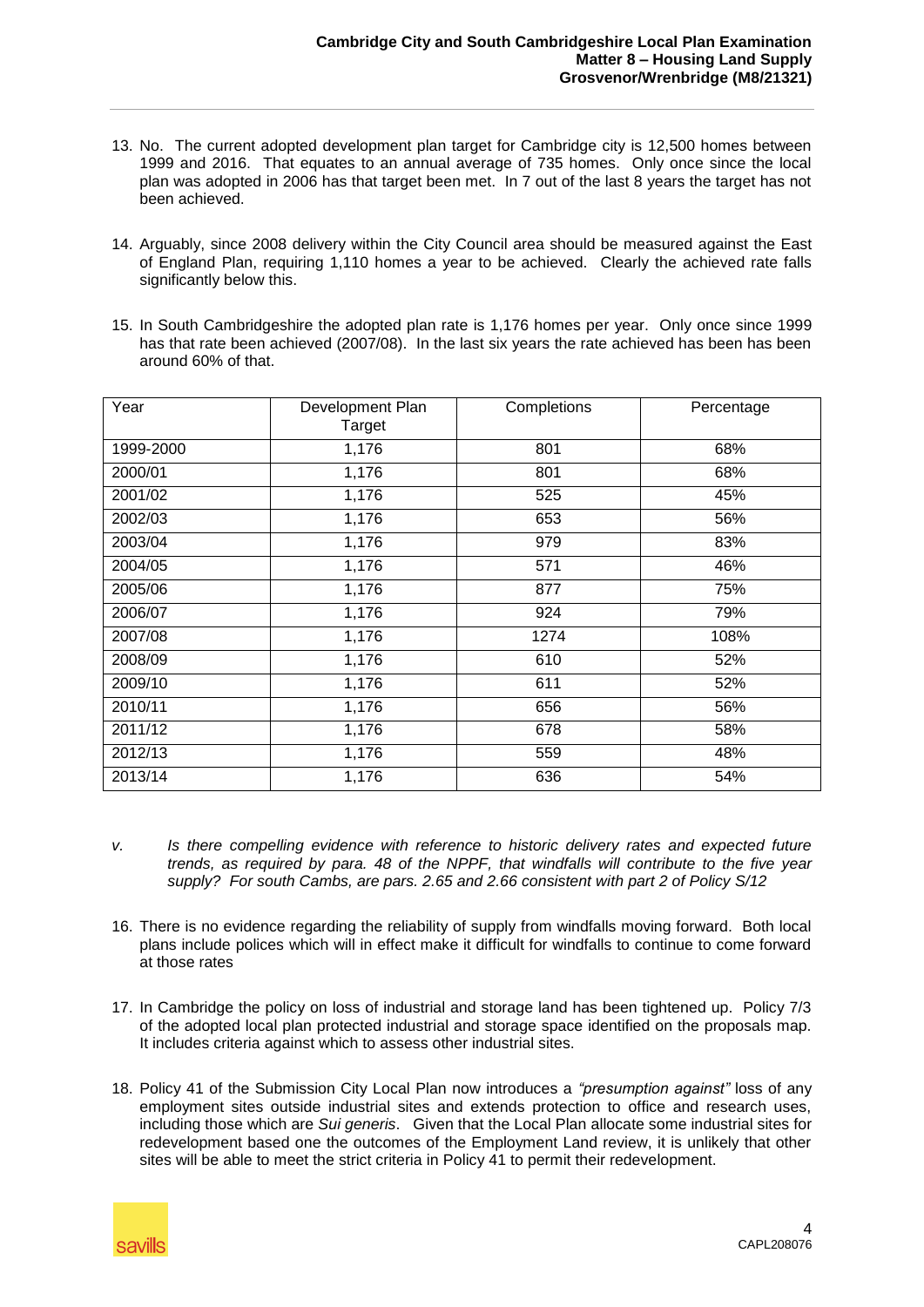- 13. No. The current adopted development plan target for Cambridge city is 12,500 homes between 1999 and 2016. That equates to an annual average of 735 homes. Only once since the local plan was adopted in 2006 has that target been met. In 7 out of the last 8 years the target has not been achieved.
- 14. Arguably, since 2008 delivery within the City Council area should be measured against the East of England Plan, requiring 1,110 homes a year to be achieved. Clearly the achieved rate falls significantly below this.
- 15. In South Cambridgeshire the adopted plan rate is 1,176 homes per year. Only once since 1999 has that rate been achieved (2007/08). In the last six years the rate achieved has been has been around 60% of that.

| Year      | Development Plan<br>Target | Completions | Percentage |
|-----------|----------------------------|-------------|------------|
| 1999-2000 | 1,176                      | 801         | 68%        |
| 2000/01   | 1,176                      | 801         | 68%        |
| 2001/02   | 1,176                      | 525         | 45%        |
| 2002/03   | 1,176                      | 653         | 56%        |
| 2003/04   | 1,176                      | 979         | 83%        |
| 2004/05   | 1,176                      | 571         | 46%        |
| 2005/06   | 1,176                      | 877         | 75%        |
| 2006/07   | 1,176                      | 924         | 79%        |
| 2007/08   | 1,176                      | 1274        | 108%       |
| 2008/09   | 1,176                      | 610         | 52%        |
| 2009/10   | 1,176                      | 611         | 52%        |
| 2010/11   | 1,176                      | 656         | 56%        |
| 2011/12   | 1,176                      | 678         | 58%        |
| 2012/13   | 1,176                      | 559         | 48%        |
| 2013/14   | 1,176                      | 636         | 54%        |

- *v. Is there compelling evidence with reference to historic delivery rates and expected future trends, as required by para. 48 of the NPPF, that windfalls will contribute to the five year supply? For south Cambs, are pars. 2.65 and 2.66 consistent with part 2 of Policy S/12*
- 16. There is no evidence regarding the reliability of supply from windfalls moving forward. Both local plans include polices which will in effect make it difficult for windfalls to continue to come forward at those rates
- 17. In Cambridge the policy on loss of industrial and storage land has been tightened up. Policy 7/3 of the adopted local plan protected industrial and storage space identified on the proposals map. It includes criteria against which to assess other industrial sites.
- 18. Policy 41 of the Submission City Local Plan now introduces a *"presumption against"* loss of any employment sites outside industrial sites and extends protection to office and research uses, including those which are *Sui generis*. Given that the Local Plan allocate some industrial sites for redevelopment based one the outcomes of the Employment Land review, it is unlikely that other sites will be able to meet the strict criteria in Policy 41 to permit their redevelopment.